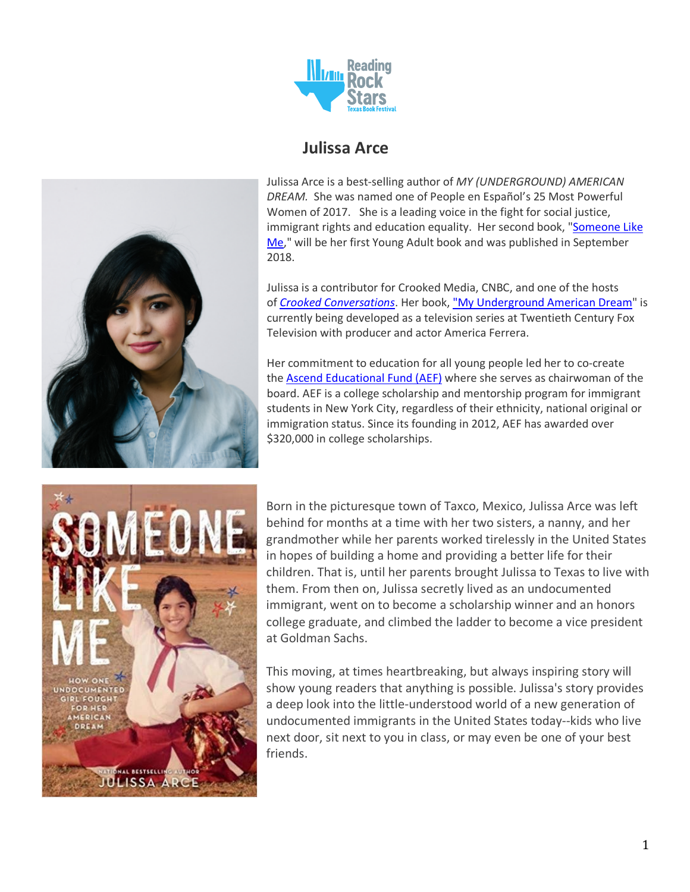

# **Julissa Arce**

Julissa Arce is a best-selling author of *MY (UNDERGROUND) AMERICAN DREAM.* She was named one of People en Español's 25 Most Powerful Women of 2017. She is a leading voice in the fight for social justice, immigrant rights and education equality. Her second book, "Someone Like Me," will be her first Young Adult book and was published in September 2018.

Julissa is a contributor for Crooked Media, CNBC, and one of the hosts of *Crooked Conversations*. Her book, "My Underground American Dream" is currently being developed as a television series at Twentieth Century Fox Television with producer and actor America Ferrera.

Her commitment to education for all young people led her to co-create the Ascend Educational Fund (AEF) where she serves as chairwoman of the board. AEF is a college scholarship and mentorship program for immigrant students in New York City, regardless of their ethnicity, national original or immigration status. Since its founding in 2012, AEF has awarded over \$320,000 in college scholarships.



Born in the picturesque town of Taxco, Mexico, Julissa Arce was left behind for months at a time with her two sisters, a nanny, and her grandmother while her parents worked tirelessly in the United States in hopes of building a home and providing a better life for their children. That is, until her parents brought Julissa to Texas to live with them. From then on, Julissa secretly lived as an undocumented immigrant, went on to become a scholarship winner and an honors college graduate, and climbed the ladder to become a vice president at Goldman Sachs.

This moving, at times heartbreaking, but always inspiring story will show young readers that anything is possible. Julissa's story provides a deep look into the little-understood world of a new generation of undocumented immigrants in the United States today--kids who live next door, sit next to you in class, or may even be one of your best friends.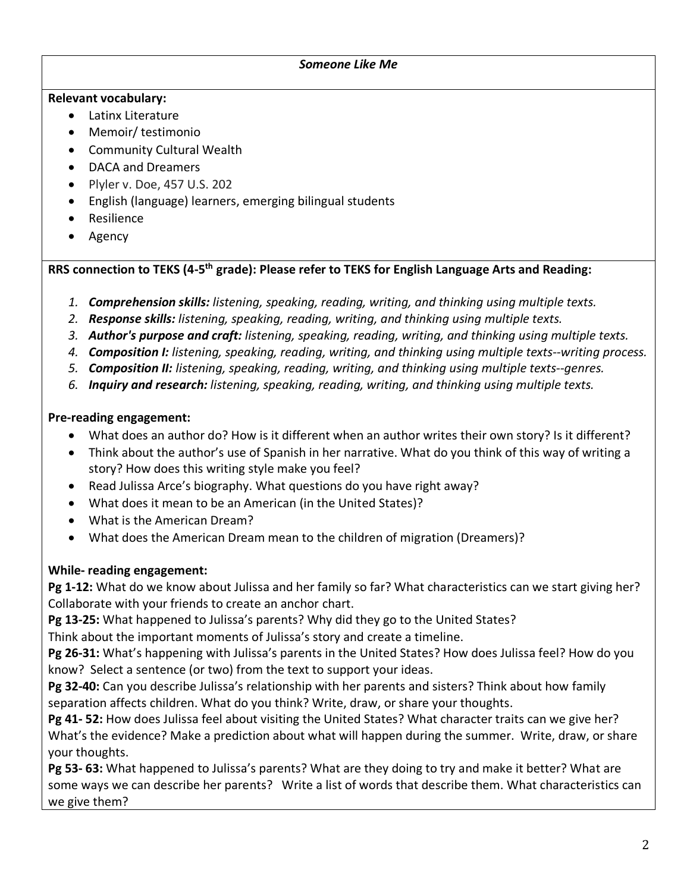#### *Someone Like Me*

#### **Relevant vocabulary:**

- Latinx Literature
- Memoir/ testimonio
- Community Cultural Wealth
- DACA and Dreamers
- Plyler v. Doe, 457 U.S. 202
- English (language) learners, emerging bilingual students
- Resilience
- Agency

#### **RRS connection to TEKS (4-5th grade): Please refer to TEKS for English Language Arts and Reading:**

- *1. Comprehension skills: listening, speaking, reading, writing, and thinking using multiple texts.*
- *2. Response skills: listening, speaking, reading, writing, and thinking using multiple texts.*
- *3. Author's purpose and craft: listening, speaking, reading, writing, and thinking using multiple texts.*
- *4. Composition I: listening, speaking, reading, writing, and thinking using multiple texts--writing process.*
- *5. Composition II: listening, speaking, reading, writing, and thinking using multiple texts--genres.*
- *6. Inquiry and research: listening, speaking, reading, writing, and thinking using multiple texts.*

#### **Pre-reading engagement:**

- What does an author do? How is it different when an author writes their own story? Is it different?
- Think about the author's use of Spanish in her narrative. What do you think of this way of writing a story? How does this writing style make you feel?
- Read Julissa Arce's biography. What questions do you have right away?
- What does it mean to be an American (in the United States)?
- What is the American Dream?
- What does the American Dream mean to the children of migration (Dreamers)?

## **While- reading engagement:**

**Pg 1-12:** What do we know about Julissa and her family so far? What characteristics can we start giving her? Collaborate with your friends to create an anchor chart.

**Pg 13-25:** What happened to Julissa's parents? Why did they go to the United States?

Think about the important moments of Julissa's story and create a timeline.

**Pg 26-31:** What's happening with Julissa's parents in the United States? How does Julissa feel? How do you know? Select a sentence (or two) from the text to support your ideas.

**Pg 32-40:** Can you describe Julissa's relationship with her parents and sisters? Think about how family separation affects children. What do you think? Write, draw, or share your thoughts.

**Pg 41- 52:** How does Julissa feel about visiting the United States? What character traits can we give her? What's the evidence? Make a prediction about what will happen during the summer. Write, draw, or share your thoughts.

**Pg 53- 63:** What happened to Julissa's parents? What are they doing to try and make it better? What are some ways we can describe her parents? Write a list of words that describe them. What characteristics can we give them?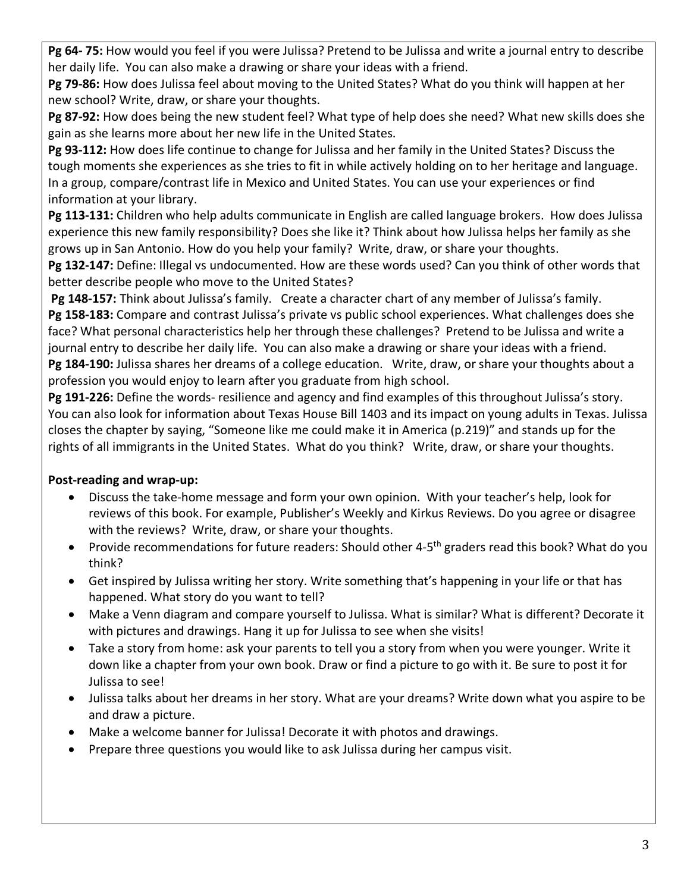**Pg 64- 75:** How would you feel if you were Julissa? Pretend to be Julissa and write a journal entry to describe her daily life. You can also make a drawing or share your ideas with a friend.

**Pg 79-86:** How does Julissa feel about moving to the United States? What do you think will happen at her new school? Write, draw, or share your thoughts.

**Pg 87-92:** How does being the new student feel? What type of help does she need? What new skills does she gain as she learns more about her new life in the United States.

**Pg 93-112:** How does life continue to change for Julissa and her family in the United States? Discuss the tough moments she experiences as she tries to fit in while actively holding on to her heritage and language. In a group, compare/contrast life in Mexico and United States. You can use your experiences or find information at your library.

**Pg 113-131:** Children who help adults communicate in English are called language brokers. How does Julissa experience this new family responsibility? Does she like it? Think about how Julissa helps her family as she grows up in San Antonio. How do you help your family? Write, draw, or share your thoughts.

**Pg 132-147:** Define: Illegal vs undocumented. How are these words used? Can you think of other words that better describe people who move to the United States?

**Pg 148-157:** Think about Julissa's family. Create a character chart of any member of Julissa's family. **Pg 158-183:** Compare and contrast Julissa's private vs public school experiences. What challenges does she face? What personal characteristics help her through these challenges? Pretend to be Julissa and write a journal entry to describe her daily life. You can also make a drawing or share your ideas with a friend. **Pg 184-190:** Julissa shares her dreams of a college education. Write, draw, or share your thoughts about a profession you would enjoy to learn after you graduate from high school.

**Pg 191-226:** Define the words- resilience and agency and find examples of this throughout Julissa's story. You can also look for information about Texas House Bill 1403 and its impact on young adults in Texas. Julissa closes the chapter by saying, "Someone like me could make it in America (p.219)" and stands up for the rights of all immigrants in the United States. What do you think? Write, draw, or share your thoughts.

## **Post-reading and wrap-up:**

- Discuss the take-home message and form your own opinion. With your teacher's help, look for reviews of this book. For example, Publisher's Weekly and Kirkus Reviews. Do you agree or disagree with the reviews? Write, draw, or share your thoughts.
- Provide recommendations for future readers: Should other 4-5<sup>th</sup> graders read this book? What do you think?
- Get inspired by Julissa writing her story. Write something that's happening in your life or that has happened. What story do you want to tell?
- Make a Venn diagram and compare yourself to Julissa. What is similar? What is different? Decorate it with pictures and drawings. Hang it up for Julissa to see when she visits!
- Take a story from home: ask your parents to tell you a story from when you were younger. Write it down like a chapter from your own book. Draw or find a picture to go with it. Be sure to post it for Julissa to see!
- Julissa talks about her dreams in her story. What are your dreams? Write down what you aspire to be and draw a picture.
- Make a welcome banner for Julissa! Decorate it with photos and drawings.
- Prepare three questions you would like to ask Julissa during her campus visit.